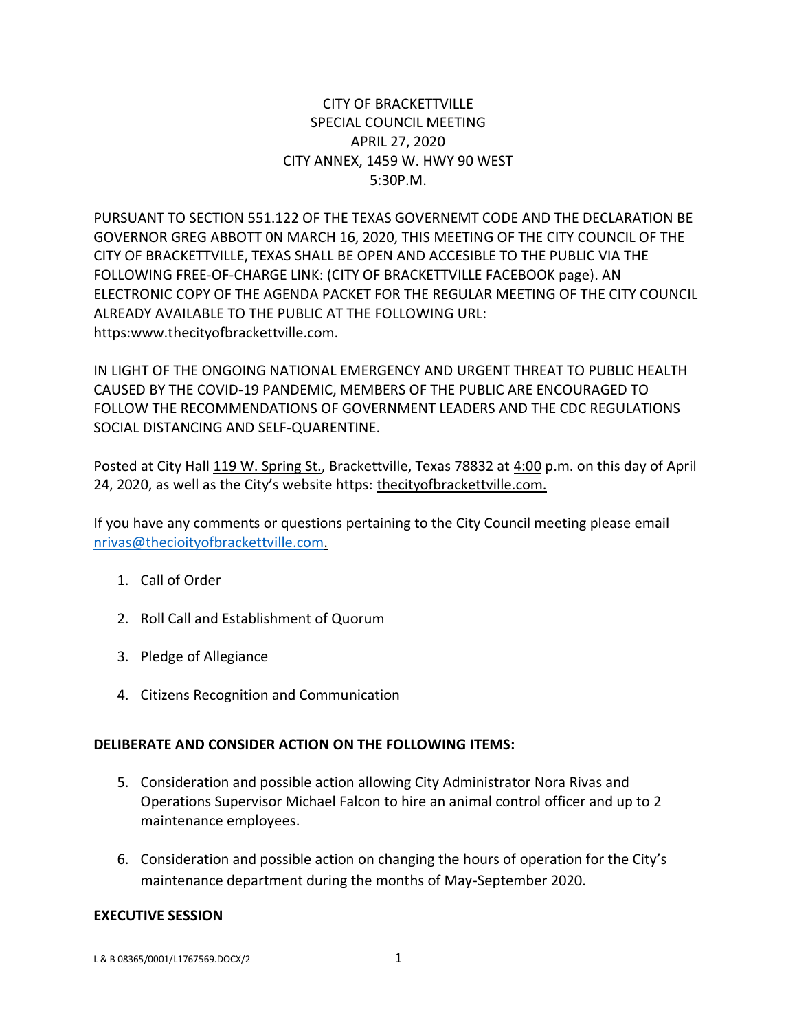## CITY OF BRACKETTVILLE SPECIAL COUNCIL MEETING APRIL 27, 2020 CITY ANNEX, 1459 W. HWY 90 WEST 5:30P.M.

PURSUANT TO SECTION 551.122 OF THE TEXAS GOVERNEMT CODE AND THE DECLARATION BE GOVERNOR GREG ABBOTT 0N MARCH 16, 2020, THIS MEETING OF THE CITY COUNCIL OF THE CITY OF BRACKETTVILLE, TEXAS SHALL BE OPEN AND ACCESIBLE TO THE PUBLIC VIA THE FOLLOWING FREE-OF-CHARGE LINK: (CITY OF BRACKETTVILLE FACEBOOK page). AN ELECTRONIC COPY OF THE AGENDA PACKET FOR THE REGULAR MEETING OF THE CITY COUNCIL ALREADY AVAILABLE TO THE PUBLIC AT THE FOLLOWING URL: https:www.thecityofbrackettville.com.

IN LIGHT OF THE ONGOING NATIONAL EMERGENCY AND URGENT THREAT TO PUBLIC HEALTH CAUSED BY THE COVID-19 PANDEMIC, MEMBERS OF THE PUBLIC ARE ENCOURAGED TO FOLLOW THE RECOMMENDATIONS OF GOVERNMENT LEADERS AND THE CDC REGULATIONS SOCIAL DISTANCING AND SELF-QUARENTINE.

Posted at City Hall 119 W. Spring St., Brackettville, Texas 78832 at 4:00 p.m. on this day of April 24, 2020, as well as the City's website https: the city of brackett ville.com.

If you have any comments or questions pertaining to the City Council meeting please email [nrivas@thecioityofbrackettville.com.](mailto:nrivas@thecioityofbrackettville.com)

- 1. Call of Order
- 2. Roll Call and Establishment of Quorum
- 3. Pledge of Allegiance
- 4. Citizens Recognition and Communication

## **DELIBERATE AND CONSIDER ACTION ON THE FOLLOWING ITEMS:**

- 5. Consideration and possible action allowing City Administrator Nora Rivas and Operations Supervisor Michael Falcon to hire an animal control officer and up to 2 maintenance employees.
- 6. Consideration and possible action on changing the hours of operation for the City's maintenance department during the months of May-September 2020.

## **EXECUTIVE SESSION**